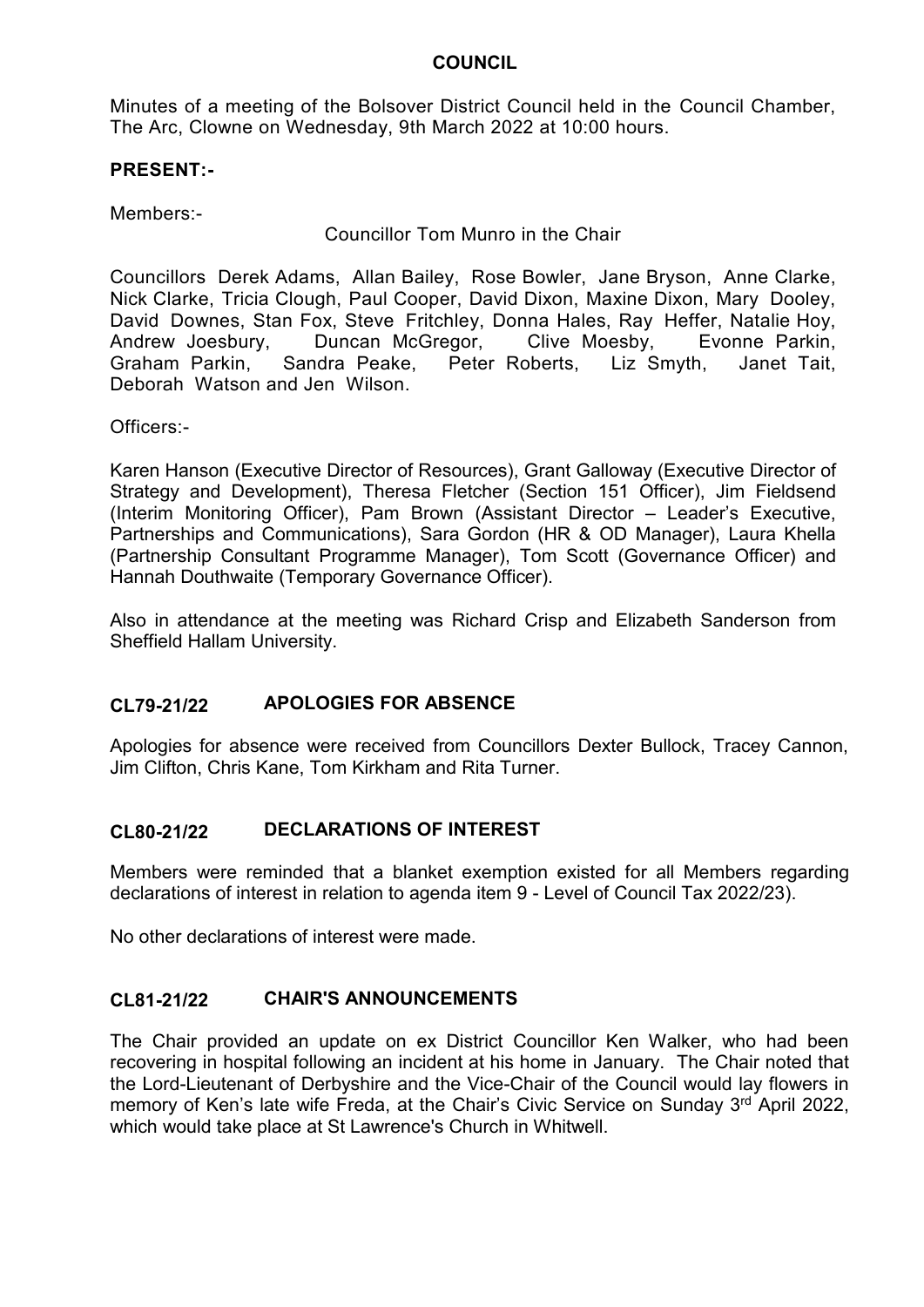Minutes of a meeting of the Bolsover District Council held in the Council Chamber, The Arc, Clowne on Wednesday, 9th March 2022 at 10:00 hours.

#### **PRESENT:-**

Members:-

Councillor Tom Munro in the Chair

Councillors Derek Adams, Allan Bailey, Rose Bowler, Jane Bryson, Anne Clarke, Nick Clarke, Tricia Clough, Paul Cooper, David Dixon, Maxine Dixon, Mary Dooley, David Downes, Stan Fox, Steve Fritchley, Donna Hales, Ray Heffer, Natalie Hoy, Andrew Joesbury, Duncan McGregor, Clive Moesby, Evonne Parkin, Graham Parkin, Sandra Peake, Peter Roberts, Liz Smyth, Janet Tait, Deborah Watson and Jen Wilson.

Officers:-

Karen Hanson (Executive Director of Resources), Grant Galloway (Executive Director of Strategy and Development), Theresa Fletcher (Section 151 Officer), Jim Fieldsend (Interim Monitoring Officer), Pam Brown (Assistant Director – Leader's Executive, Partnerships and Communications), Sara Gordon (HR & OD Manager), Laura Khella (Partnership Consultant Programme Manager), Tom Scott (Governance Officer) and Hannah Douthwaite (Temporary Governance Officer).

Also in attendance at the meeting was Richard Crisp and Elizabeth Sanderson from Sheffield Hallam University.

#### **CL79-21/22 APOLOGIES FOR ABSENCE**

Apologies for absence were received from Councillors Dexter Bullock, Tracey Cannon, Jim Clifton, Chris Kane, Tom Kirkham and Rita Turner.

#### **CL80-21/22 DECLARATIONS OF INTEREST**

Members were reminded that a blanket exemption existed for all Members regarding declarations of interest in relation to agenda item 9 - Level of Council Tax 2022/23).

No other declarations of interest were made.

#### **CL81-21/22 CHAIR'S ANNOUNCEMENTS**

The Chair provided an update on ex District Councillor Ken Walker, who had been recovering in hospital following an incident at his home in January. The Chair noted that the Lord-Lieutenant of Derbyshire and the Vice-Chair of the Council would lay flowers in memory of Ken's late wife Freda, at the Chair's Civic Service on Sunday 3<sup>rd</sup> April 2022, which would take place at St Lawrence's Church in Whitwell.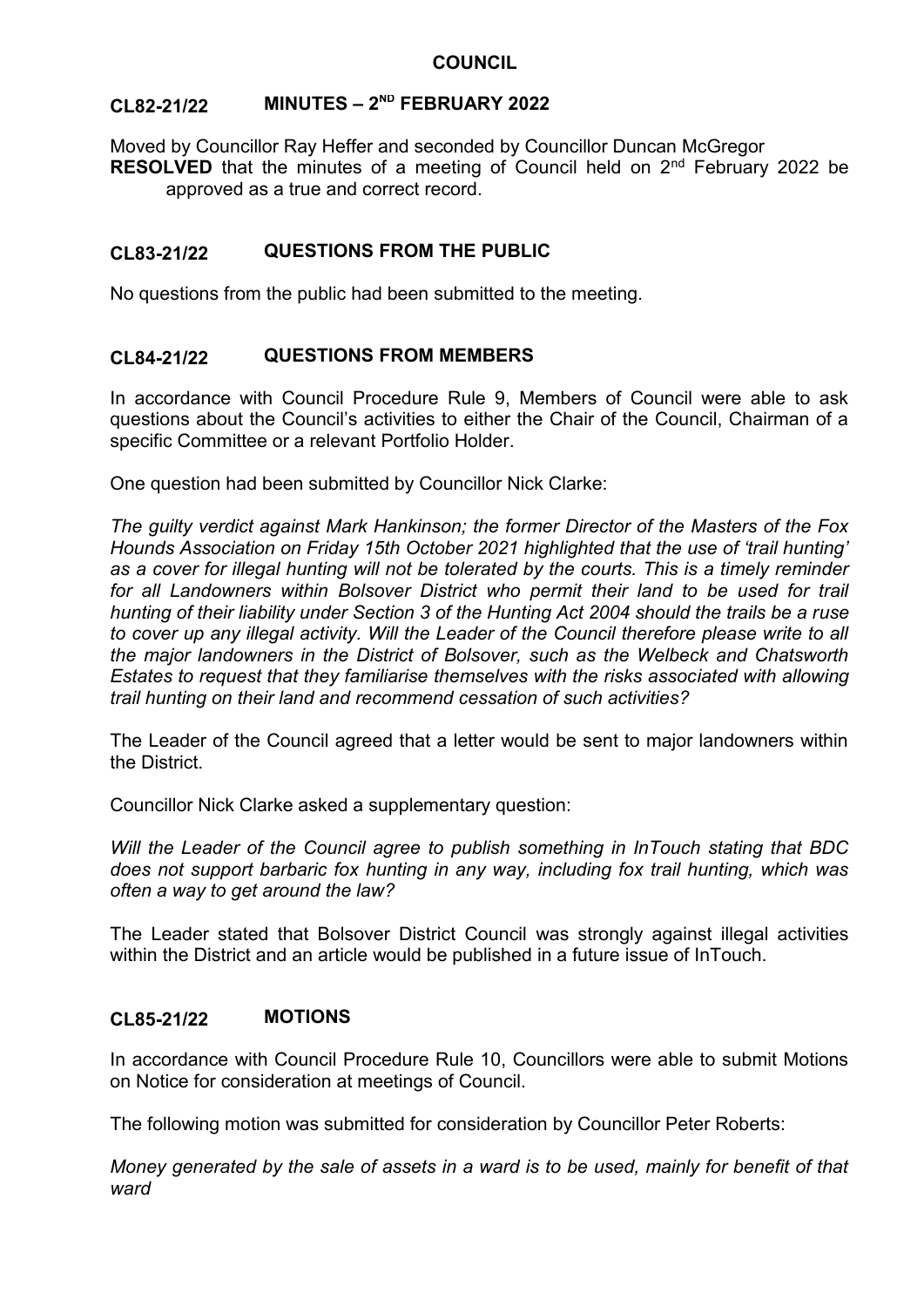# **CL82-21/22 MINUTES – 2 ND FEBRUARY 2022**

Moved by Councillor Ray Heffer and seconded by Councillor Duncan McGregor **RESOLVED** that the minutes of a meeting of Council held on 2<sup>nd</sup> February 2022 be approved as a true and correct record.

# **CL83-21/22 QUESTIONS FROM THE PUBLIC**

No questions from the public had been submitted to the meeting.

# **CL84-21/22 QUESTIONS FROM MEMBERS**

In accordance with Council Procedure Rule 9, Members of Council were able to ask questions about the Council's activities to either the Chair of the Council, Chairman of a specific Committee or a relevant Portfolio Holder.

One question had been submitted by Councillor Nick Clarke:

*The guilty verdict against Mark Hankinson; the former Director of the Masters of the Fox Hounds Association on Friday 15th October 2021 highlighted that the use of 'trail hunting' as a cover for illegal hunting will not be tolerated by the courts. This is a timely reminder*  for all Landowners within Bolsover District who permit their land to be used for trail *hunting of their liability under Section 3 of the Hunting Act 2004 should the trails be a ruse to cover up any illegal activity. Will the Leader of the Council therefore please write to all the major landowners in the District of Bolsover, such as the Welbeck and Chatsworth Estates to request that they familiarise themselves with the risks associated with allowing trail hunting on their land and recommend cessation of such activities?*

The Leader of the Council agreed that a letter would be sent to major landowners within the District.

Councillor Nick Clarke asked a supplementary question:

*Will the Leader of the Council agree to publish something in InTouch stating that BDC does not support barbaric fox hunting in any way, including fox trail hunting, which was often a way to get around the law?*

The Leader stated that Bolsover District Council was strongly against illegal activities within the District and an article would be published in a future issue of InTouch.

#### **CL85-21/22 MOTIONS**

In accordance with Council Procedure Rule 10, Councillors were able to submit Motions on Notice for consideration at meetings of Council.

The following motion was submitted for consideration by Councillor Peter Roberts:

*Money generated by the sale of assets in a ward is to be used, mainly for benefit of that ward*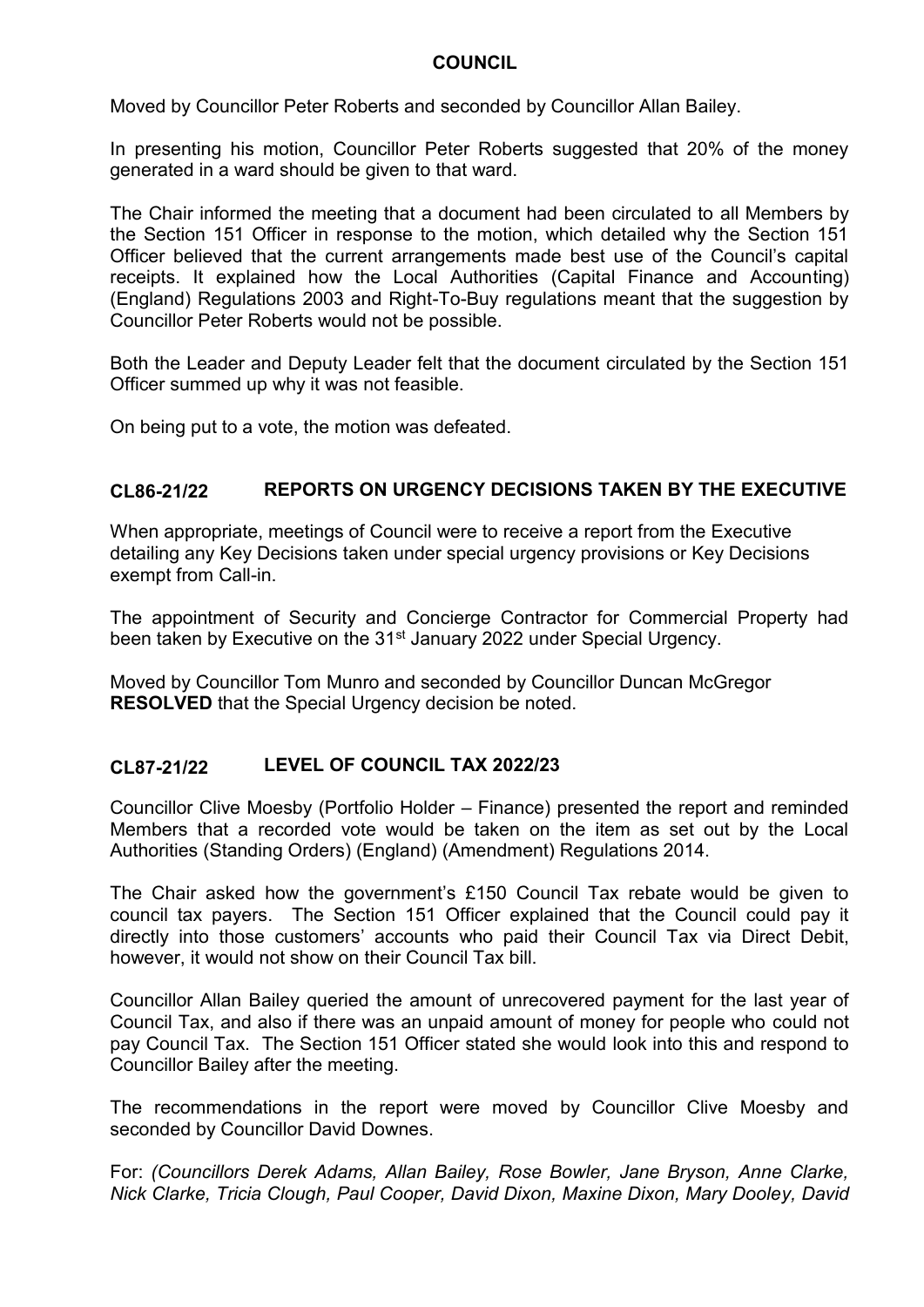Moved by Councillor Peter Roberts and seconded by Councillor Allan Bailey.

In presenting his motion, Councillor Peter Roberts suggested that 20% of the money generated in a ward should be given to that ward.

The Chair informed the meeting that a document had been circulated to all Members by the Section 151 Officer in response to the motion, which detailed why the Section 151 Officer believed that the current arrangements made best use of the Council's capital receipts. It explained how the Local Authorities (Capital Finance and Accounting) (England) Regulations 2003 and Right-To-Buy regulations meant that the suggestion by Councillor Peter Roberts would not be possible.

Both the Leader and Deputy Leader felt that the document circulated by the Section 151 Officer summed up why it was not feasible.

On being put to a vote, the motion was defeated.

#### **CL86-21/22 REPORTS ON URGENCY DECISIONS TAKEN BY THE EXECUTIVE**

When appropriate, meetings of Council were to receive a report from the Executive detailing any Key Decisions taken under special urgency provisions or Key Decisions exempt from Call-in.

The appointment of Security and Concierge Contractor for Commercial Property had been taken by Executive on the 31<sup>st</sup> January 2022 under Special Urgency.

Moved by Councillor Tom Munro and seconded by Councillor Duncan McGregor **RESOLVED** that the Special Urgency decision be noted.

#### **CL87-21/22 LEVEL OF COUNCIL TAX 2022/23**

Councillor Clive Moesby (Portfolio Holder – Finance) presented the report and reminded Members that a recorded vote would be taken on the item as set out by the Local Authorities (Standing Orders) (England) (Amendment) Regulations 2014.

The Chair asked how the government's £150 Council Tax rebate would be given to council tax payers. The Section 151 Officer explained that the Council could pay it directly into those customers' accounts who paid their Council Tax via Direct Debit, however, it would not show on their Council Tax bill.

Councillor Allan Bailey queried the amount of unrecovered payment for the last year of Council Tax, and also if there was an unpaid amount of money for people who could not pay Council Tax. The Section 151 Officer stated she would look into this and respond to Councillor Bailey after the meeting.

The recommendations in the report were moved by Councillor Clive Moesby and seconded by Councillor David Downes.

For: *(Councillors Derek Adams, Allan Bailey, Rose Bowler, Jane Bryson, Anne Clarke, Nick Clarke, Tricia Clough, Paul Cooper, David Dixon, Maxine Dixon, Mary Dooley, David*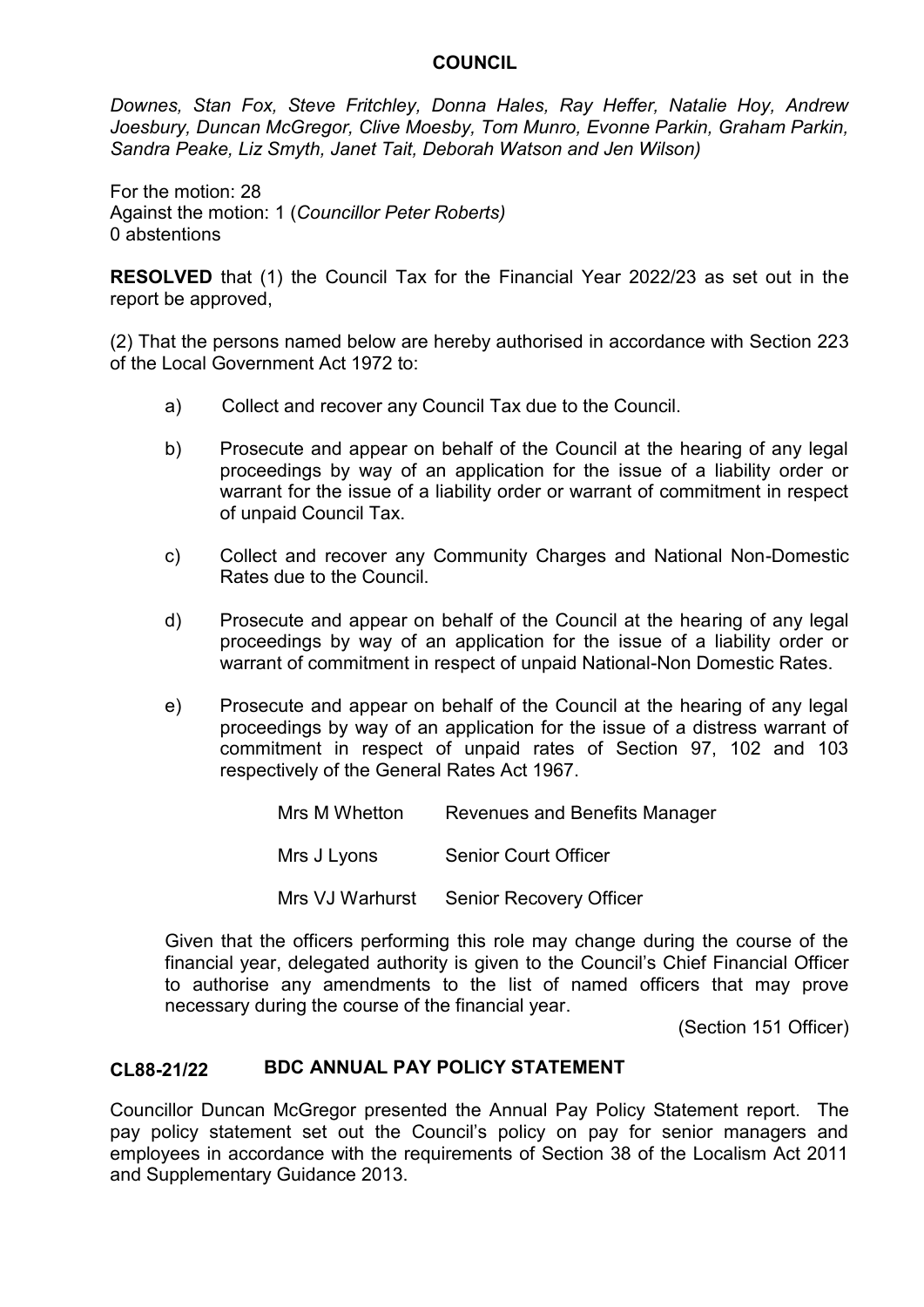*Downes, Stan Fox, Steve Fritchley, Donna Hales, Ray Heffer, Natalie Hoy, Andrew Joesbury, Duncan McGregor, Clive Moesby, Tom Munro, Evonne Parkin, Graham Parkin, Sandra Peake, Liz Smyth, Janet Tait, Deborah Watson and Jen Wilson)*

For the motion: 28 Against the motion: 1 (*Councillor Peter Roberts)* 0 abstentions

**RESOLVED** that (1) the Council Tax for the Financial Year 2022/23 as set out in the report be approved,

(2) That the persons named below are hereby authorised in accordance with Section 223 of the Local Government Act 1972 to:

- a) Collect and recover any Council Tax due to the Council.
- b) Prosecute and appear on behalf of the Council at the hearing of any legal proceedings by way of an application for the issue of a liability order or warrant for the issue of a liability order or warrant of commitment in respect of unpaid Council Tax.
- c) Collect and recover any Community Charges and National Non-Domestic Rates due to the Council.
- d) Prosecute and appear on behalf of the Council at the hearing of any legal proceedings by way of an application for the issue of a liability order or warrant of commitment in respect of unpaid National-Non Domestic Rates.
- e) Prosecute and appear on behalf of the Council at the hearing of any legal proceedings by way of an application for the issue of a distress warrant of commitment in respect of unpaid rates of Section 97, 102 and 103 respectively of the General Rates Act 1967.

| Mrs M Whetton | <b>Revenues and Benefits Manager</b>    |
|---------------|-----------------------------------------|
| Mrs J Lyons   | <b>Senior Court Officer</b>             |
|               | Mrs VJ Warhurst Senior Recovery Officer |

Given that the officers performing this role may change during the course of the financial year, delegated authority is given to the Council's Chief Financial Officer to authorise any amendments to the list of named officers that may prove necessary during the course of the financial year.

(Section 151 Officer)

#### **CL88-21/22 BDC ANNUAL PAY POLICY STATEMENT**

Councillor Duncan McGregor presented the Annual Pay Policy Statement report. The pay policy statement set out the Council's policy on pay for senior managers and employees in accordance with the requirements of Section 38 of the Localism Act 2011 and Supplementary Guidance 2013.